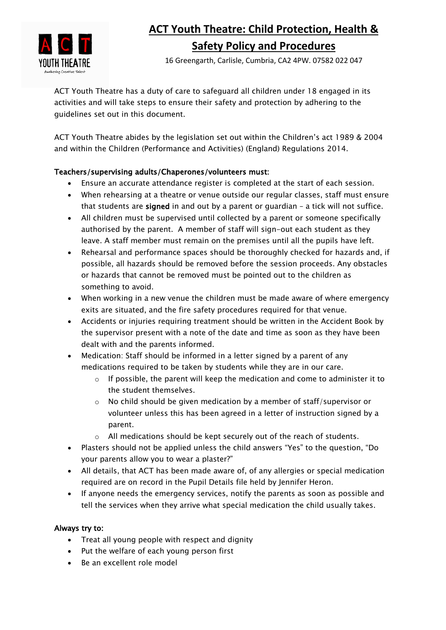

# **ACT Youth Theatre: Child Protection, Health & Safety Policy and Procedures**

16 Greengarth, Carlisle, Cumbria, CA2 4PW. 07582 022 047

ACT Youth Theatre has a duty of care to safeguard all children under 18 engaged in its activities and will take steps to ensure their safety and protection by adhering to the guidelines set out in this document.

ACT Youth Theatre abides by the legislation set out within the Children's act 1989 & 2004 and within the Children (Performance and Activities) (England) Regulations 2014.

# Teachers/supervising adults/Chaperones/volunteers must:

- Ensure an accurate attendance register is completed at the start of each session.
- When rehearsing at a theatre or venue outside our regular classes, staff must ensure that students are signed in and out by a parent or guardian – a tick will not suffice.
- All children must be supervised until collected by a parent or someone specifically authorised by the parent. A member of staff will sign-out each student as they leave. A staff member must remain on the premises until all the pupils have left.
- Rehearsal and performance spaces should be thoroughly checked for hazards and, if possible, all hazards should be removed before the session proceeds. Any obstacles or hazards that cannot be removed must be pointed out to the children as something to avoid.
- When working in a new venue the children must be made aware of where emergency exits are situated, and the fire safety procedures required for that venue.
- Accidents or injuries requiring treatment should be written in the Accident Book by the supervisor present with a note of the date and time as soon as they have been dealt with and the parents informed.
- Medication: Staff should be informed in a letter signed by a parent of any medications required to be taken by students while they are in our care.
	- $\circ$  If possible, the parent will keep the medication and come to administer it to the student themselves.
	- $\circ$  No child should be given medication by a member of staff/supervisor or volunteer unless this has been agreed in a letter of instruction signed by a parent.
	- o All medications should be kept securely out of the reach of students.
- Plasters should not be applied unless the child answers "Yes" to the question, "Do your parents allow you to wear a plaster?"
- All details, that ACT has been made aware of, of any allergies or special medication required are on record in the Pupil Details file held by Jennifer Heron.
- If anyone needs the emergency services, notify the parents as soon as possible and tell the services when they arrive what special medication the child usually takes.

## Always try to:

- Treat all young people with respect and dignity
- Put the welfare of each young person first
- Be an excellent role model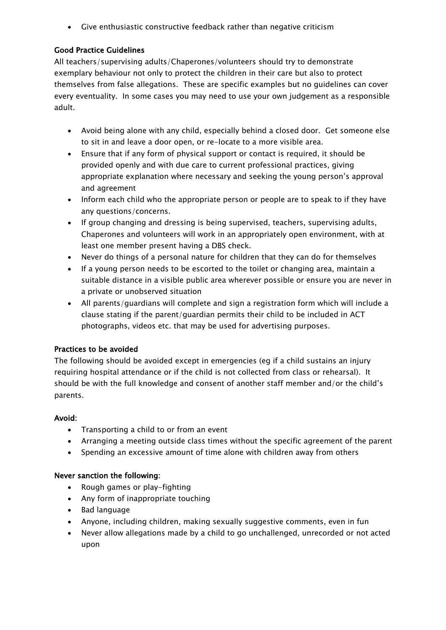• Give enthusiastic constructive feedback rather than negative criticism

## Good Practice Guidelines

All teachers/supervising adults/Chaperones/volunteers should try to demonstrate exemplary behaviour not only to protect the children in their care but also to protect themselves from false allegations. These are specific examples but no guidelines can cover every eventuality. In some cases you may need to use your own judgement as a responsible adult.

- Avoid being alone with any child, especially behind a closed door. Get someone else to sit in and leave a door open, or re-locate to a more visible area.
- Ensure that if any form of physical support or contact is required, it should be provided openly and with due care to current professional practices, giving appropriate explanation where necessary and seeking the young person's approval and agreement
- Inform each child who the appropriate person or people are to speak to if they have any questions/concerns.
- If group changing and dressing is being supervised, teachers, supervising adults, Chaperones and volunteers will work in an appropriately open environment, with at least one member present having a DBS check.
- Never do things of a personal nature for children that they can do for themselves
- If a young person needs to be escorted to the toilet or changing area, maintain a suitable distance in a visible public area wherever possible or ensure you are never in a private or unobserved situation
- All parents/guardians will complete and sign a registration form which will include a clause stating if the parent/guardian permits their child to be included in ACT photographs, videos etc. that may be used for advertising purposes.

### Practices to be avoided

The following should be avoided except in emergencies (eg if a child sustains an injury requiring hospital attendance or if the child is not collected from class or rehearsal). It should be with the full knowledge and consent of another staff member and/or the child's parents.

### Avoid:

- Transporting a child to or from an event
- Arranging a meeting outside class times without the specific agreement of the parent
- Spending an excessive amount of time alone with children away from others

### Never sanction the following:

- Rough games or play-fighting
- Any form of inappropriate touching
- Bad language
- Anyone, including children, making sexually suggestive comments, even in fun
- Never allow allegations made by a child to go unchallenged, unrecorded or not acted upon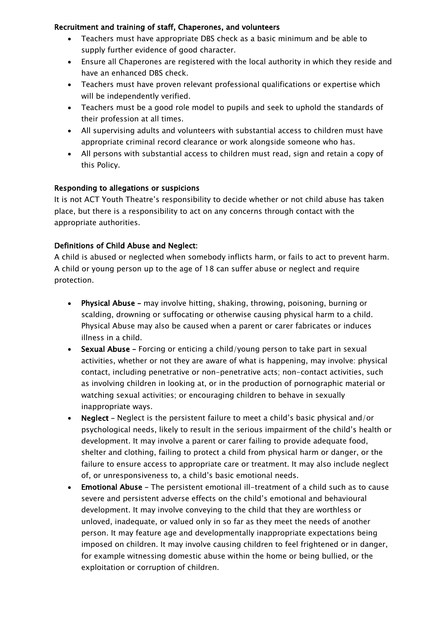## Recruitment and training of staff, Chaperones, and volunteers

- Teachers must have appropriate DBS check as a basic minimum and be able to supply further evidence of good character.
- Ensure all Chaperones are registered with the local authority in which they reside and have an enhanced DBS check.
- Teachers must have proven relevant professional qualifications or expertise which will be independently verified.
- Teachers must be a good role model to pupils and seek to uphold the standards of their profession at all times.
- All supervising adults and volunteers with substantial access to children must have appropriate criminal record clearance or work alongside someone who has.
- All persons with substantial access to children must read, sign and retain a copy of this Policy.

## Responding to allegations or suspicions

It is not ACT Youth Theatre's responsibility to decide whether or not child abuse has taken place, but there is a responsibility to act on any concerns through contact with the appropriate authorities.

## Definitions of Child Abuse and Neglect:

A child is abused or neglected when somebody inflicts harm, or fails to act to prevent harm. A child or young person up to the age of 18 can suffer abuse or neglect and require protection.

- Physical Abuse may involve hitting, shaking, throwing, poisoning, burning or scalding, drowning or suffocating or otherwise causing physical harm to a child. Physical Abuse may also be caused when a parent or carer fabricates or induces illness in a child.
- Sexual Abuse Forcing or enticing a child/young person to take part in sexual activities, whether or not they are aware of what is happening, may involve: physical contact, including penetrative or non-penetrative acts; non-contact activities, such as involving children in looking at, or in the production of pornographic material or watching sexual activities; or encouraging children to behave in sexually inappropriate ways.
- Neglect Neglect is the persistent failure to meet a child's basic physical and/or psychological needs, likely to result in the serious impairment of the child's health or development. It may involve a parent or carer failing to provide adequate food, shelter and clothing, failing to protect a child from physical harm or danger, or the failure to ensure access to appropriate care or treatment. It may also include neglect of, or unresponsiveness to, a child's basic emotional needs.
- Emotional Abuse The persistent emotional ill-treatment of a child such as to cause severe and persistent adverse effects on the child's emotional and behavioural development. It may involve conveying to the child that they are worthless or unloved, inadequate, or valued only in so far as they meet the needs of another person. It may feature age and developmentally inappropriate expectations being imposed on children. It may involve causing children to feel frightened or in danger, for example witnessing domestic abuse within the home or being bullied, or the exploitation or corruption of children.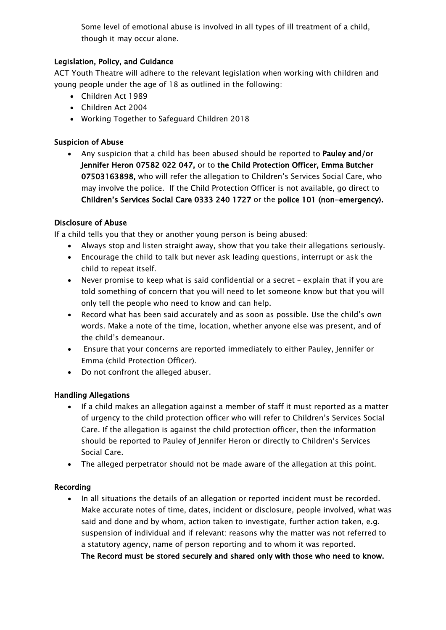Some level of emotional abuse is involved in all types of ill treatment of a child, though it may occur alone.

## Legislation, Policy, and Guidance

ACT Youth Theatre will adhere to the relevant legislation when working with children and young people under the age of 18 as outlined in the following:

- Children Act 1989
- Children Act 2004
- Working Together to Safeguard Children 2018

# Suspicion of Abuse

• Any suspicion that a child has been abused should be reported to Pauley and/or Jennifer Heron 07582 022 047, or to the Child Protection Officer, Emma Butcher 07503163898, who will refer the allegation to Children's Services Social Care, who may involve the police. If the Child Protection Officer is not available, go direct to Children's Services Social Care 0333 240 1727 or the police 101 (non-emergency).

# Disclosure of Abuse

If a child tells you that they or another young person is being abused:

- Always stop and listen straight away, show that you take their allegations seriously.
- Encourage the child to talk but never ask leading questions, interrupt or ask the child to repeat itself.
- Never promise to keep what is said confidential or a secret explain that if you are told something of concern that you will need to let someone know but that you will only tell the people who need to know and can help.
- Record what has been said accurately and as soon as possible. Use the child's own words. Make a note of the time, location, whether anyone else was present, and of the child's demeanour.
- Ensure that your concerns are reported immediately to either Pauley, Jennifer or Emma (child Protection Officer).
- Do not confront the alleged abuser.

## Handling Allegations

- If a child makes an allegation against a member of staff it must reported as a matter of urgency to the child protection officer who will refer to Children's Services Social Care. If the allegation is against the child protection officer, then the information should be reported to Pauley of Jennifer Heron or directly to Children's Services Social Care.
- The alleged perpetrator should not be made aware of the allegation at this point.

## Recording

• In all situations the details of an allegation or reported incident must be recorded. Make accurate notes of time, dates, incident or disclosure, people involved, what was said and done and by whom, action taken to investigate, further action taken, e.g. suspension of individual and if relevant: reasons why the matter was not referred to a statutory agency, name of person reporting and to whom it was reported. The Record must be stored securely and shared only with those who need to know.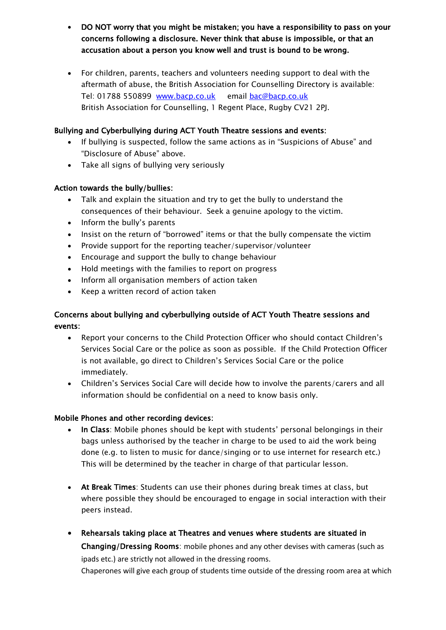- DO NOT worry that you might be mistaken; you have a responsibility to pass on your concerns following a disclosure. Never think that abuse is impossible, or that an accusation about a person you know well and trust is bound to be wrong.
- For children, parents, teachers and volunteers needing support to deal with the aftermath of abuse, the British Association for Counselling Directory is available: Tel: 01788 550899 www.bacp.co.uk email bac@bacp.co.uk British Association for Counselling, 1 Regent Place, Rugby CV21 2PJ.

## Bullying and Cyberbullying during ACT Youth Theatre sessions and events:

- If bullying is suspected, follow the same actions as in "Suspicions of Abuse" and "Disclosure of Abuse" above.
- Take all signs of bullying very seriously

## Action towards the bully/bullies:

- Talk and explain the situation and try to get the bully to understand the consequences of their behaviour. Seek a genuine apology to the victim.
- Inform the bully's parents
- Insist on the return of "borrowed" items or that the bully compensate the victim
- Provide support for the reporting teacher/supervisor/volunteer
- Encourage and support the bully to change behaviour
- Hold meetings with the families to report on progress
- Inform all organisation members of action taken
- Keep a written record of action taken

# Concerns about bullying and cyberbullying outside of ACT Youth Theatre sessions and events:

- Report your concerns to the Child Protection Officer who should contact Children's Services Social Care or the police as soon as possible. If the Child Protection Officer is not available, go direct to Children's Services Social Care or the police immediately.
- Children's Services Social Care will decide how to involve the parents/carers and all information should be confidential on a need to know basis only.

## Mobile Phones and other recording devices:

- In Class: Mobile phones should be kept with students' personal belongings in their bags unless authorised by the teacher in charge to be used to aid the work being done (e.g. to listen to music for dance/singing or to use internet for research etc.) This will be determined by the teacher in charge of that particular lesson.
- At Break Times: Students can use their phones during break times at class, but where possible they should be encouraged to engage in social interaction with their peers instead.
- Rehearsals taking place at Theatres and venues where students are situated in Changing/Dressing Rooms: mobile phones and any other devises with cameras (such as ipads etc.) are strictly not allowed in the dressing rooms. Chaperones will give each group of students time outside of the dressing room area at which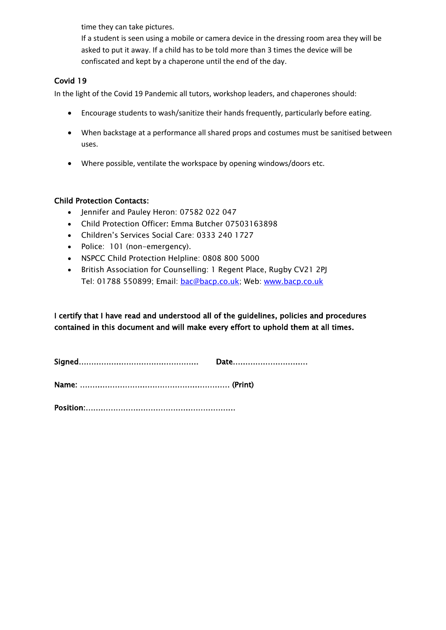time they can take pictures.

If a student is seen using a mobile or camera device in the dressing room area they will be asked to put it away. If a child has to be told more than 3 times the device will be confiscated and kept by a chaperone until the end of the day.

## Covid 19

In the light of the Covid 19 Pandemic all tutors, workshop leaders, and chaperones should:

- Encourage students to wash/sanitize their hands frequently, particularly before eating.
- When backstage at a performance all shared props and costumes must be sanitised between uses.
- Where possible, ventilate the workspace by opening windows/doors etc.

## Child Protection Contacts:

- Jennifer and Pauley Heron: 07582 022 047
- Child Protection Officer: Emma Butcher 07503163898
- Children's Services Social Care: 0333 240 1727
- Police: 101 (non-emergency).
- NSPCC Child Protection Helpline: 0808 800 5000
- British Association for Counselling: 1 Regent Place, Rugby CV21 2PJ Tel: 01788 550899; Email: bac@bacp.co.uk; Web: www.bacp.co.uk

I certify that I have read and understood all of the guidelines, policies and procedures contained in this document and will make every effort to uphold them at all times.

Position:……………………………………………………